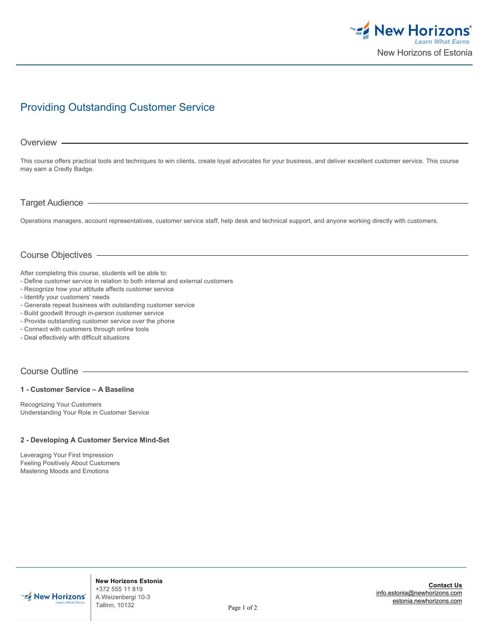

# Providing Outstanding Customer Service

#### Overview -

This course offers practical tools and techniques to win clients, create loyal advocates for your business, and deliver excellent customer service. This course may earn a Credly Badge.

## Target Audience

Operations managers, account representatives, customer service staff, help desk and technical support, and anyone working directly with customers.

# Course Objectives

After completing this course, students will be able to:

- Define customer service in relation to both internal and external customers
- Recognize how your attitude affects customer service
- Identify your customers' needs
- Generate repeat business with outstanding customer service
- Build goodwill through in-person customer service
- Provide outstanding customer service over the phone
- Connect with customers through online tools
- Deal effectively with difficult situations

# Course Outline

#### **1 - Customer Service – A Baseline**

Recognizing Your Customers Understanding Your Role in Customer Service

#### **2 - Developing A Customer Service Mind-Set**

Leveraging Your First Impression Feeling Positively About Customers Mastering Moods and Emotions



**New Horizons Estonia** +372 555 11 819 A.Weizenbergi 10-3 Tallinn, 10132